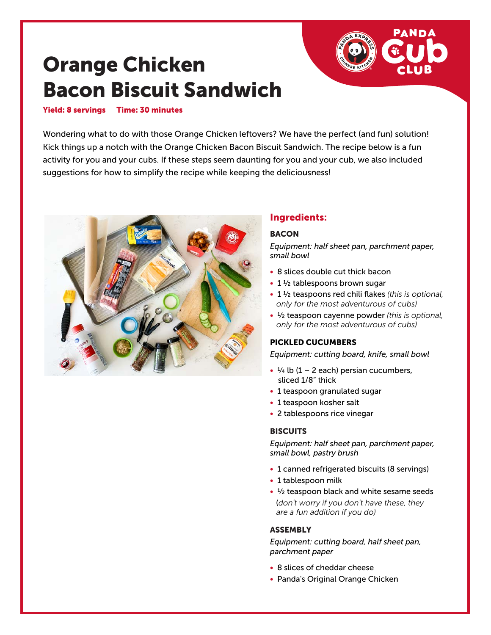# Orange Chicken Bacon Biscuit Sandwich

#### Yield: 8 servings Time: 30 minutes

Wondering what to do with those Orange Chicken leftovers? We have the perfect (and fun) solution! Kick things up a notch with the Orange Chicken Bacon Biscuit Sandwich. The recipe below is a fun activity for you and your cubs. If these steps seem daunting for you and your cub, we also included suggestions for how to simplify the recipe while keeping the deliciousness!



# Ingredients:

#### **BACON**

*Equipment: half sheet pan, parchment paper, small bowl*

- 8 slices double cut thick bacon
- 1 1/2 tablespoons brown sugar
- 1 ½ teaspoons red chili flakes *(this is optional, only for the most adventurous of cubs)*
- ½ teaspoon cayenne powder *(this is optional, only for the most adventurous of cubs)*

### PICKLED CUCUMBERS

*Equipment: cutting board, knife, small bowl*

- $\cdot$   $\frac{1}{4}$  lb (1 2 each) persian cucumbers, sliced 1/8" thick
- 1 teaspoon granulated sugar
- 1 teaspoon kosher salt
- 2 tablespoons rice vinegar

### **BISCUITS**

*Equipment: half sheet pan, parchment paper, small bowl, pastry brush*

- 1 canned refrigerated biscuits (8 servings)
- 1 tablespoon milk
- $\frac{1}{2}$  teaspoon black and white sesame seeds (*don't worry if you don't have these, they are a fun addition if you do)*

### **ASSEMBLY**

*Equipment: cutting board, half sheet pan, parchment paper*

- 8 slices of cheddar cheese
- Panda's Original Orange Chicken